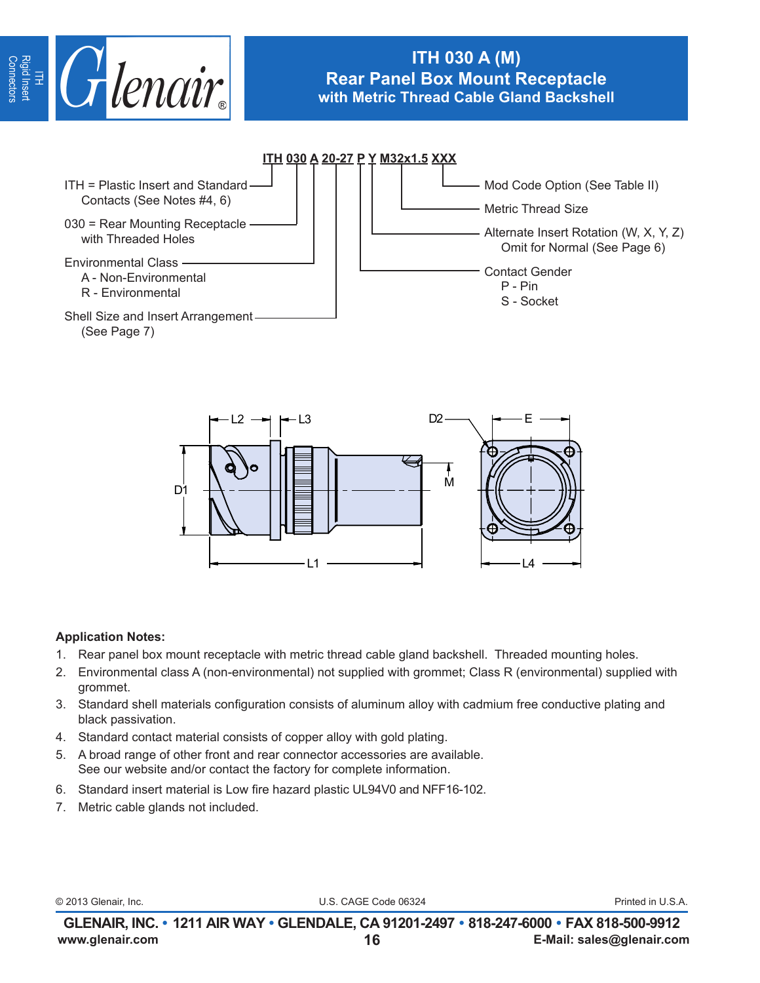

# **ITH 030 A (M) Rear Panel Box Mount Receptacle with Metric Thread Cable Gland Backshell**





### **Application Notes:**

- 1. Rear panel box mount receptacle with metric thread cable gland backshell. Threaded mounting holes.
- 2. Environmental class A (non-environmental) not supplied with grommet; Class R (environmental) supplied with grommet.
- 3. Standard shell materials configuration consists of aluminum alloy with cadmium free conductive plating and black passivation.
- 4. Standard contact material consists of copper alloy with gold plating.
- 5. A broad range of other front and rear connector accessories are available. See our website and/or contact the factory for complete information.
- 6. Standard insert material is Low fire hazard plastic UL94V0 and NFF16-102.
- 7. Metric cable glands not included.

© 2013 Glenair, Inc. U.S. CAGE Code 06324 Printed in U.S.A.